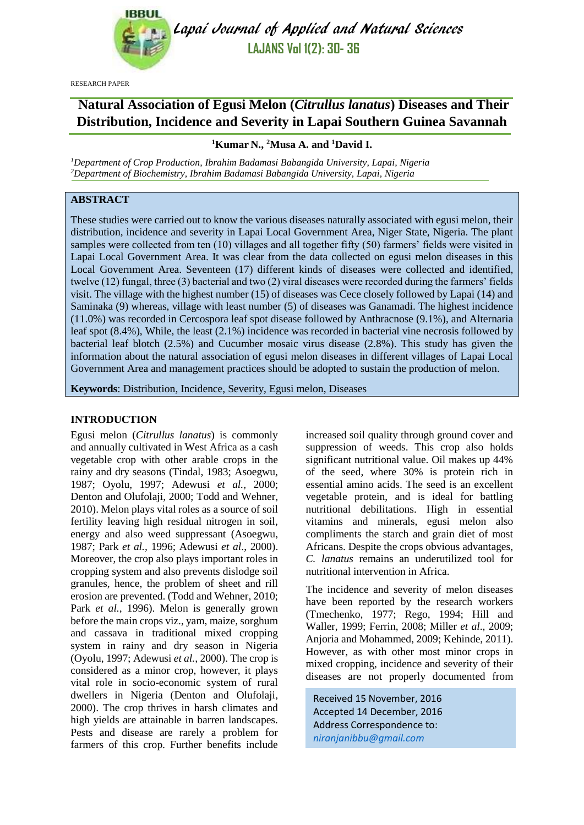

Lapai Journal of Applied and Natural Sciences **LAJANS Vol 1(2): 30- 36**

RESEARCH PAPER

# **Natural Association of Egusi Melon (***Citrullus lanatus***) Diseases and Their Distribution, Incidence and Severity in Lapai Southern Guinea Savannah**

# **<sup>1</sup>Kumar N., <sup>2</sup>Musa A. and <sup>1</sup>David I.**

*<sup>1</sup>Department of Crop Production, Ibrahim Badamasi Babangida University, Lapai, Nigeria <sup>2</sup>Department of Biochemistry, Ibrahim Badamasi Babangida University, Lapai, Nigeria*

# **ABSTRACT**

These studies were carried out to know the various diseases naturally associated with egusi melon, their distribution, incidence and severity in Lapai Local Government Area, Niger State, Nigeria. The plant samples were collected from ten (10) villages and all together fifty (50) farmers' fields were visited in Lapai Local Government Area. It was clear from the data collected on egusi melon diseases in this Local Government Area. Seventeen (17) different kinds of diseases were collected and identified, twelve (12) fungal, three (3) bacterial and two (2) viral diseases were recorded during the farmers' fields visit. The village with the highest number (15) of diseases was Cece closely followed by Lapai (14) and Saminaka (9) whereas, village with least number (5) of diseases was Ganamadi. The highest incidence (11.0%) was recorded in Cercospora leaf spot disease followed by Anthracnose (9.1%), and Alternaria leaf spot (8.4%), While, the least (2.1%) incidence was recorded in bacterial vine necrosis followed by bacterial leaf blotch (2.5%) and Cucumber mosaic virus disease (2.8%). This study has given the information about the natural association of egusi melon diseases in different villages of Lapai Local Government Area and management practices should be adopted to sustain the production of melon.

**Keywords**: Distribution, Incidence, Severity, Egusi melon, Diseases

#### **INTRODUCTION**

Egusi melon (*Citrullus lanatus*) is commonly and annually cultivated in West Africa as a cash vegetable crop with other arable crops in the rainy and dry seasons (Tindal, 1983; Asoegwu, 1987; Oyolu, 1997; Adewusi *et al.,* 2000; Denton and Olufolaji, 2000; Todd and Wehner, 2010). Melon plays vital roles as a source of soil fertility leaving high residual nitrogen in soil, energy and also weed suppressant (Asoegwu, 1987; Park *et al.,* 1996; Adewusi *et al*., 2000). Moreover, the crop also plays important roles in cropping system and also prevents dislodge soil granules, hence, the problem of sheet and rill erosion are prevented. (Todd and Wehner, 2010; Park *et al.,* 1996). Melon is generally grown before the main crops viz., yam, maize, sorghum and cassava in traditional mixed cropping system in rainy and dry season in Nigeria (Oyolu, 1997; Adewusi *et al.,* 2000). The crop is considered as a minor crop, however, it plays vital role in socio-economic system of rural dwellers in Nigeria (Denton and Olufolaji, 2000). The crop thrives in harsh climates and high yields are attainable in barren landscapes. Pests and disease are rarely a problem for farmers of this crop. Further benefits include increased soil quality through ground cover and suppression of weeds. This crop also holds significant nutritional value. Oil makes up 44% of the seed, where 30% is protein rich in essential amino acids. The seed is an excellent vegetable protein, and is ideal for battling nutritional debilitations. High in essential vitamins and minerals, egusi melon also compliments the starch and grain diet of most Africans. Despite the crops obvious advantages, *C. lanatus* remains an underutilized tool for nutritional intervention in Africa.

The incidence and severity of melon diseases have been reported by the research workers (Tmechenko, 1977; Rego, 1994; Hill and Waller, 1999; Ferrin, 2008; Miller *et al*., 2009; Anjoria and Mohammed, 2009; Kehinde, 2011). However, as with other most minor crops in mixed cropping, incidence and severity of their diseases are not properly documented from

Received 15 November, 2016 Accepted 14 December, 2016 Address Correspondence to: *[niranjanibbu@gmail.com](mailto:niranjanibbu@gmail.com)*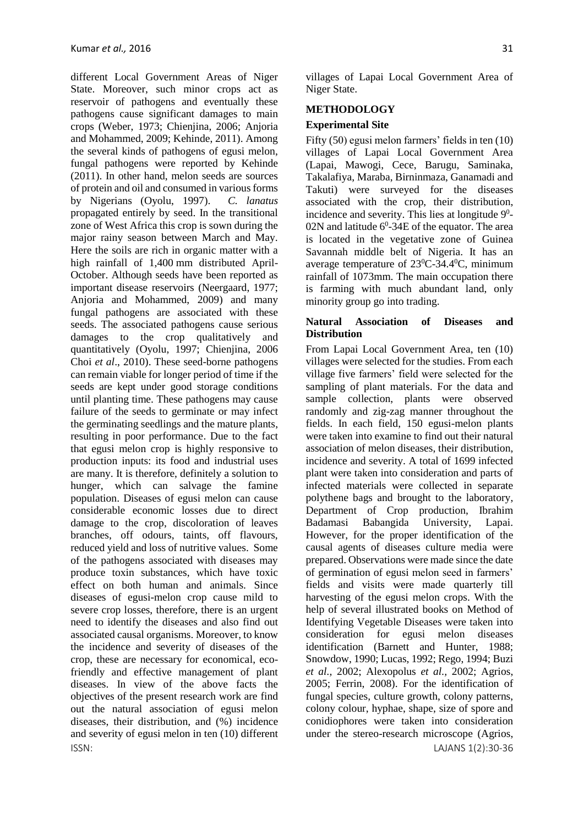ISSN: LAJANS 1(2):30-36 different Local Government Areas of Niger State. Moreover, such minor crops act as reservoir of pathogens and eventually these pathogens cause significant damages to main crops (Weber, 1973; Chienjina, 2006; Anjoria and Mohammed, 2009; Kehinde, 2011). Among the several kinds of pathogens of egusi melon, fungal pathogens were reported by Kehinde (2011). In other hand, melon seeds are sources of protein and oil and consumed in various forms by Nigerians (Oyolu, 1997). *C. lanatus* propagated entirely by seed. In the transitional zone of West Africa this crop is sown during the major rainy season between March and May. Here the soils are rich in organic matter with a high rainfall of 1,400 mm distributed April-October. Although seeds have been reported as important disease reservoirs (Neergaard, 1977; Anjoria and Mohammed, 2009) and many fungal pathogens are associated with these seeds. The associated pathogens cause serious damages to the crop qualitatively and quantitatively (Oyolu, 1997; Chienjina, 2006 Choi *et al*., 2010). These seed-borne pathogens can remain viable for longer period of time if the seeds are kept under good storage conditions until planting time. These pathogens may cause failure of the seeds to germinate or may infect the germinating seedlings and the mature plants, resulting in poor performance. Due to the fact that egusi melon crop is highly responsive to production inputs: its food and industrial uses are many. It is therefore, definitely a solution to hunger, which can salvage the famine population. Diseases of egusi melon can cause considerable economic losses due to direct damage to the crop, discoloration of leaves branches, off odours, taints, off flavours, reduced yield and loss of nutritive values. Some of the pathogens associated with diseases may produce toxin substances, which have toxic effect on both human and animals. Since diseases of egusi-melon crop cause mild to severe crop losses, therefore, there is an urgent need to identify the diseases and also find out associated causal organisms. Moreover, to know the incidence and severity of diseases of the crop, these are necessary for economical, ecofriendly and effective management of plant diseases. In view of the above facts the objectives of the present research work are find out the natural association of egusi melon diseases, their distribution, and (%) incidence and severity of egusi melon in ten (10) different

# **METHODOLOGY**

# **Experimental Site**

Fifty (50) egusi melon farmers' fields in ten (10) villages of Lapai Local Government Area (Lapai, Mawogi, Cece, Barugu, Saminaka, Takalafiya, Maraba, Birninmaza, Ganamadi and Takuti) were surveyed for the diseases associated with the crop, their distribution, incidence and severity. This lies at longitude  $9^0$ -02N and latitude  $6^0$ -34E of the equator. The area is located in the vegetative zone of Guinea Savannah middle belt of Nigeria. It has an average temperature of 23<sup>0</sup>C-34.4<sup>0</sup>C, minimum rainfall of 1073mm. The main occupation there is farming with much abundant land, only minority group go into trading.

#### **Natural Association of Diseases and Distribution**

From Lapai Local Government Area, ten (10) villages were selected for the studies. From each village five farmers' field were selected for the sampling of plant materials. For the data and sample collection, plants were observed randomly and zig-zag manner throughout the fields. In each field, 150 egusi-melon plants were taken into examine to find out their natural association of melon diseases, their distribution, incidence and severity. A total of 1699 infected plant were taken into consideration and parts of infected materials were collected in separate polythene bags and brought to the laboratory, Department of Crop production, Ibrahim Badamasi Babangida University, Lapai. However, for the proper identification of the causal agents of diseases culture media were prepared. Observations were made since the date of germination of egusi melon seed in farmers' fields and visits were made quarterly till harvesting of the egusi melon crops. With the help of several illustrated books on Method of Identifying Vegetable Diseases were taken into consideration for egusi melon diseases identification (Barnett and Hunter, 1988; Snowdow, 1990; Lucas, 1992; Rego, 1994; Buzi *et al.,* 2002; Alexopolus *et al.,* 2002; Agrios, 2005; Ferrin, 2008). For the identification of fungal species, culture growth, colony patterns, colony colour, hyphae, shape, size of spore and conidiophores were taken into consideration under the stereo-research microscope (Agrios,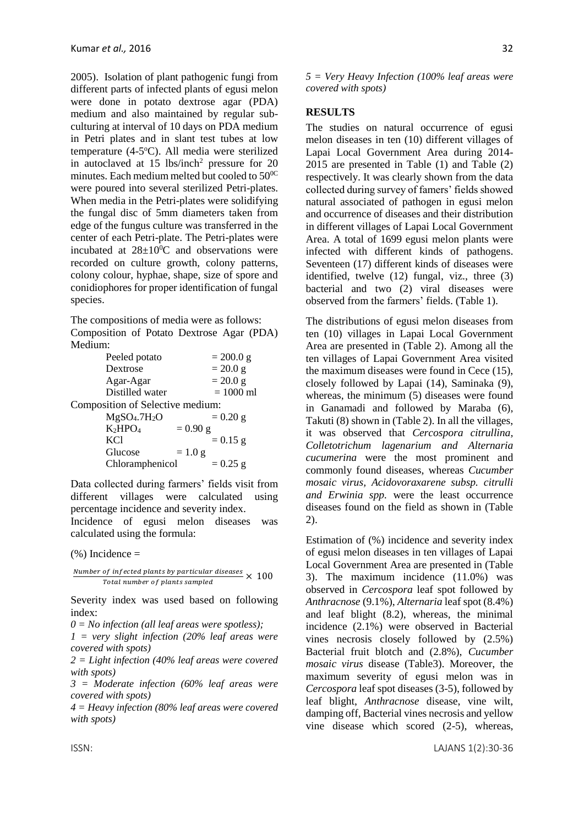2005). Isolation of plant pathogenic fungi from different parts of infected plants of egusi melon were done in potato dextrose agar (PDA) medium and also maintained by regular subculturing at interval of 10 days on PDA medium in Petri plates and in slant test tubes at low temperature (4-5°C). All media were sterilized in autoclaved at  $15 \text{ lbs/inch}^2$  pressure for  $20$ minutes. Each medium melted but cooled to  $50^{0C}$ were poured into several sterilized Petri-plates. When media in the Petri-plates were solidifying the fungal disc of 5mm diameters taken from edge of the fungus culture was transferred in the center of each Petri-plate. The Petri-plates were incubated at  $28\pm10^0$ C and observations were recorded on culture growth, colony patterns, colony colour, hyphae, shape, size of spore and conidiophores for proper identification of fungal species.

The compositions of media were as follows: Composition of Potato Dextrose Agar (PDA) Medium:

| Peeled potato                        | $= 200.0 g$ |  |  |  |
|--------------------------------------|-------------|--|--|--|
| Dextrose                             | $= 20.0 g$  |  |  |  |
| Agar-Agar                            | $= 20.0 g$  |  |  |  |
| Distilled water                      | $= 1000$ ml |  |  |  |
| Composition of Selective medium:     |             |  |  |  |
| MgSO <sub>4</sub> .7H <sub>2</sub> O | $= 0.20$ g  |  |  |  |
| K <sub>2</sub> HPO <sub>4</sub>      | $= 0.90$ g  |  |  |  |
| KC1                                  | $= 0.15$ g  |  |  |  |
| Glucose                              | $= 1.0 g$   |  |  |  |
| Chloramphenicol                      | $= 0.25$ g  |  |  |  |

Data collected during farmers' fields visit from different villages were calculated using percentage incidence and severity index.

Incidence of egusi melon diseases was calculated using the formula:

 $(%)$  Incidence =

 × 100

Severity index was used based on following index:

*0 = No infection (all leaf areas were spotless);* 

*1 = very slight infection (20% leaf areas were covered with spots)*

*2 = Light infection (40% leaf areas were covered with spots)* 

*3 = Moderate infection (60% leaf areas were covered with spots)* 

*4 = Heavy infection (80% leaf areas were covered with spots)* 

*5 = Very Heavy Infection (100% leaf areas were covered with spots)* 

#### **RESULTS**

The studies on natural occurrence of egusi melon diseases in ten (10) different villages of Lapai Local Government Area during 2014- 2015 are presented in Table (1) and Table (2) respectively. It was clearly shown from the data collected during survey of famers' fields showed natural associated of pathogen in egusi melon and occurrence of diseases and their distribution in different villages of Lapai Local Government Area. A total of 1699 egusi melon plants were infected with different kinds of pathogens. Seventeen (17) different kinds of diseases were identified, twelve (12) fungal, viz., three (3) bacterial and two (2) viral diseases were observed from the farmers' fields. (Table 1).

The distributions of egusi melon diseases from ten (10) villages in Lapai Local Government Area are presented in (Table 2). Among all the ten villages of Lapai Government Area visited the maximum diseases were found in Cece (15), closely followed by Lapai (14), Saminaka (9), whereas, the minimum (5) diseases were found in Ganamadi and followed by Maraba (6), Takuti (8) shown in (Table 2). In all the villages, it was observed that *Cercospora citrullina, Colletotrichum lagenarium and Alternaria cucumerina* were the most prominent and commonly found diseases, whereas *Cucumber mosaic virus, Acidovoraxarene subsp. citrulli and Erwinia spp.* were the least occurrence diseases found on the field as shown in (Table 2).

Estimation of (%) incidence and severity index of egusi melon diseases in ten villages of Lapai Local Government Area are presented in (Table 3). The maximum incidence (11.0%) was observed in *Cercospora* leaf spot followed by *Anthracnose* (9.1%), *Alternaria* leaf spot (8.4%) and leaf blight (8.2), whereas, the minimal incidence (2.1%) were observed in Bacterial vines necrosis closely followed by (2.5%) Bacterial fruit blotch and (2.8%), *Cucumber mosaic virus* disease (Table3). Moreover, the maximum severity of egusi melon was in *Cercospora* leaf spot diseases (3-5), followed by leaf blight, *Anthracnose* disease, vine wilt, damping off, Bacterial vines necrosis and yellow vine disease which scored (2-5), whereas,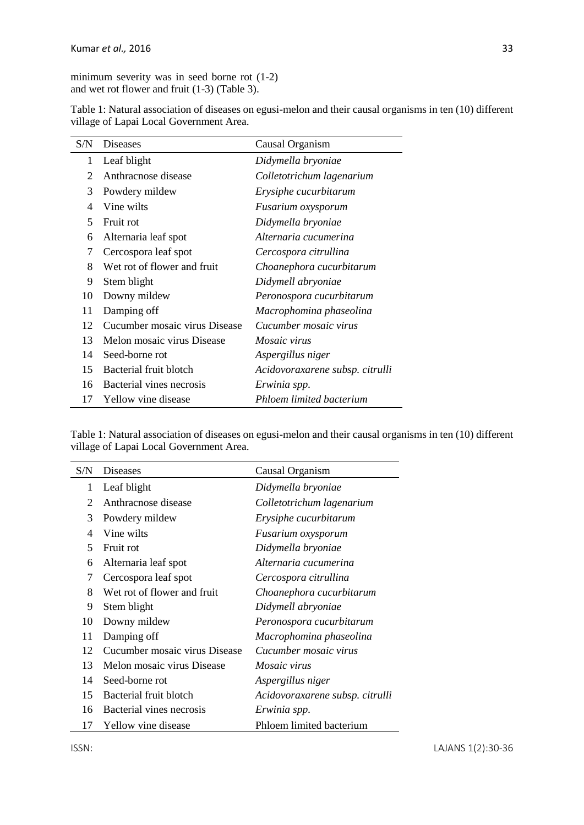minimum severity was in seed borne rot (1-2) and wet rot flower and fruit (1-3) (Table 3).

| S/N | <b>Diseases</b>               | Causal Organism                 |  |
|-----|-------------------------------|---------------------------------|--|
| 1   | Leaf blight                   | Didymella bryoniae              |  |
| 2   | Anthracnose disease           | Colletotrichum lagenarium       |  |
| 3   | Powdery mildew                | Erysiphe cucurbitarum           |  |
| 4   | Vine wilts                    | Fusarium oxysporum              |  |
| 5   | Fruit rot                     | Didymella bryoniae              |  |
| 6   | Alternaria leaf spot          | Alternaria cucumerina           |  |
| 7   | Cercospora leaf spot          | Cercospora citrullina           |  |
| 8   | Wet rot of flower and fruit   | Choanephora cucurbitarum        |  |
| 9   | Stem blight                   | Didymell abryoniae              |  |
| 10  | Downy mildew                  | Peronospora cucurbitarum        |  |
| 11  | Damping off                   | Macrophomina phaseolina         |  |
| 12  | Cucumber mosaic virus Disease | Cucumber mosaic virus           |  |
| 13  | Melon mosaic virus Disease    | <i>Mosaic virus</i>             |  |
| 14  | Seed-borne rot                | Aspergillus niger               |  |
| 15  | Bacterial fruit blotch        | Acidovoraxarene subsp. citrulli |  |
| 16  | Bacterial vines necrosis      | Erwinia spp.                    |  |
| 17  | Yellow vine disease           | Phloem limited bacterium        |  |

Table 1: Natural association of diseases on egusi-melon and their causal organisms in ten (10) different village of Lapai Local Government Area.

| Table 1: Natural association of diseases on egusi-melon and their causal organisms in ten (10) different |  |
|----------------------------------------------------------------------------------------------------------|--|
| village of Lapai Local Government Area.                                                                  |  |

| S/N            | Diseases                      | Causal Organism                 |  |
|----------------|-------------------------------|---------------------------------|--|
| 1              | Leaf blight                   | Didymella bryoniae              |  |
| 2              | Anthracnose disease           | Colletotrichum lagenarium       |  |
| 3              | Powdery mildew                | Erysiphe cucurbitarum           |  |
| $\overline{4}$ | Vine wilts                    | Fusarium oxysporum              |  |
| 5              | Fruit rot                     | Didymella bryoniae              |  |
| 6              | Alternaria leaf spot          | Alternaria cucumerina           |  |
| 7              | Cercospora leaf spot          | Cercospora citrullina           |  |
| 8              | Wet rot of flower and fruit   | Choanephora cucurbitarum        |  |
| 9              | Stem blight                   | Didymell abryoniae              |  |
| 10             | Downy mildew                  | Peronospora cucurbitarum        |  |
| 11             | Damping off                   | Macrophomina phaseolina         |  |
| 12             | Cucumber mosaic virus Disease | Cucumber mosaic virus           |  |
| 13             | Melon mosaic virus Disease    | <i>Mosaic virus</i>             |  |
| 14             | Seed-borne rot                | Aspergillus niger               |  |
| 15             | Bacterial fruit blotch        | Acidovoraxarene subsp. citrulli |  |
| 16             | Bacterial vines necrosis      | Erwinia spp.                    |  |
| 17             | Yellow vine disease           | Phloem limited bacterium        |  |

 $\overline{a}$ 

 $\overline{a}$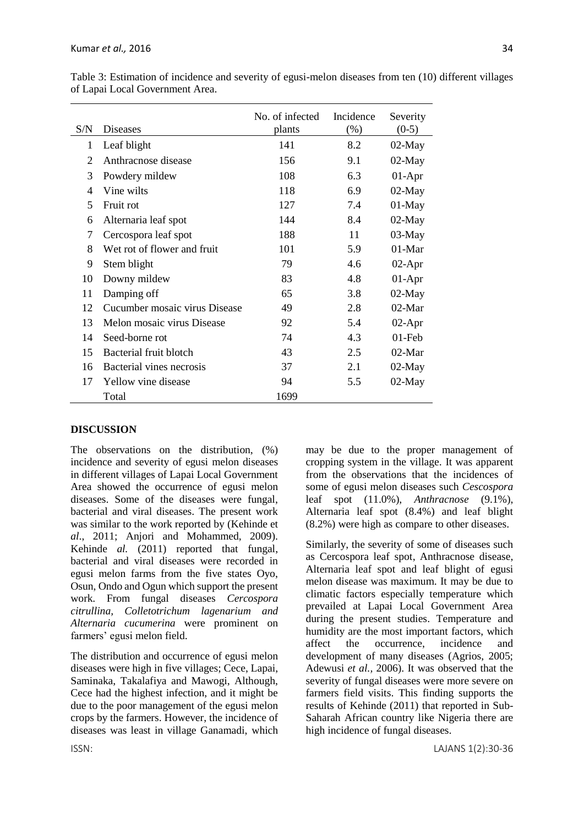| S/N            | <b>Diseases</b>               | No. of infected<br>plants | Incidence<br>$(\%)$ | Severity<br>$(0-5)$ |
|----------------|-------------------------------|---------------------------|---------------------|---------------------|
| 1              | Leaf blight                   | 141                       | 8.2                 | $02-May$            |
| 2              | Anthracnose disease           | 156                       | 9.1                 | $02$ -May           |
| 3              | Powdery mildew                | 108                       | 6.3                 | $01-Apr$            |
| $\overline{4}$ | Vine wilts                    | 118                       | 6.9                 | $02$ -May           |
| 5              | Fruit rot                     | 127                       | 7.4                 | $01-May$            |
| 6              | Alternaria leaf spot          | 144                       | 8.4                 | $02-May$            |
| 7              | Cercospora leaf spot          | 188                       | 11                  | $03-May$            |
| 8              | Wet rot of flower and fruit   | 101                       | 5.9                 | 01-Mar              |
| 9              | Stem blight                   | 79                        | 4.6                 | $02-Apr$            |
| 10             | Downy mildew                  | 83                        | 4.8                 | $01-Apr$            |
| 11             | Damping off                   | 65                        | 3.8                 | $02$ -May           |
| 12             | Cucumber mosaic virus Disease | 49                        | 2.8                 | $02-Mar$            |
| 13             | Melon mosaic virus Disease    | 92                        | 5.4                 | $02-Apr$            |
| 14             | Seed-borne rot                | 74                        | 4.3                 | $01$ -Feb           |
| 15             | Bacterial fruit blotch        | 43                        | 2.5                 | $02-Mar$            |
| 16             | Bacterial vines necrosis      | 37                        | 2.1                 | $02$ -May           |
| 17             | Yellow vine disease           | 94                        | 5.5                 | $02$ -May           |
|                | Total                         | 1699                      |                     |                     |

Table 3: Estimation of incidence and severity of egusi-melon diseases from ten (10) different villages of Lapai Local Government Area.

### **DISCUSSION**

The observations on the distribution, (%) incidence and severity of egusi melon diseases in different villages of Lapai Local Government Area showed the occurrence of egusi melon diseases. Some of the diseases were fungal, bacterial and viral diseases. The present work was similar to the work reported by (Kehinde et *al*., 2011; Anjori and Mohammed, 2009). Kehinde *al.* (2011) reported that fungal, bacterial and viral diseases were recorded in egusi melon farms from the five states Oyo, Osun, Ondo and Ogun which support the present work. From fungal diseases *Cercospora citrullina, Colletotrichum lagenarium and Alternaria cucumerina* were prominent on farmers' egusi melon field.

The distribution and occurrence of egusi melon diseases were high in five villages; Cece, Lapai, Saminaka, Takalafiya and Mawogi, Although, Cece had the highest infection, and it might be due to the poor management of the egusi melon crops by the farmers. However, the incidence of diseases was least in village Ganamadi, which may be due to the proper management of cropping system in the village. It was apparent from the observations that the incidences of some of egusi melon diseases such *Cescospora* leaf spot (11.0%), *Anthracnose* (9.1%), Alternaria leaf spot (8.4%) and leaf blight (8.2%) were high as compare to other diseases.

Similarly, the severity of some of diseases such as Cercospora leaf spot, Anthracnose disease, Alternaria leaf spot and leaf blight of egusi melon disease was maximum. It may be due to climatic factors especially temperature which prevailed at Lapai Local Government Area during the present studies. Temperature and humidity are the most important factors, which affect the occurrence, incidence and development of many diseases (Agrios, 2005; Adewusi *et al.,* 2006). It was observed that the severity of fungal diseases were more severe on farmers field visits. This finding supports the results of Kehinde (2011) that reported in Sub-Saharah African country like Nigeria there are high incidence of fungal diseases.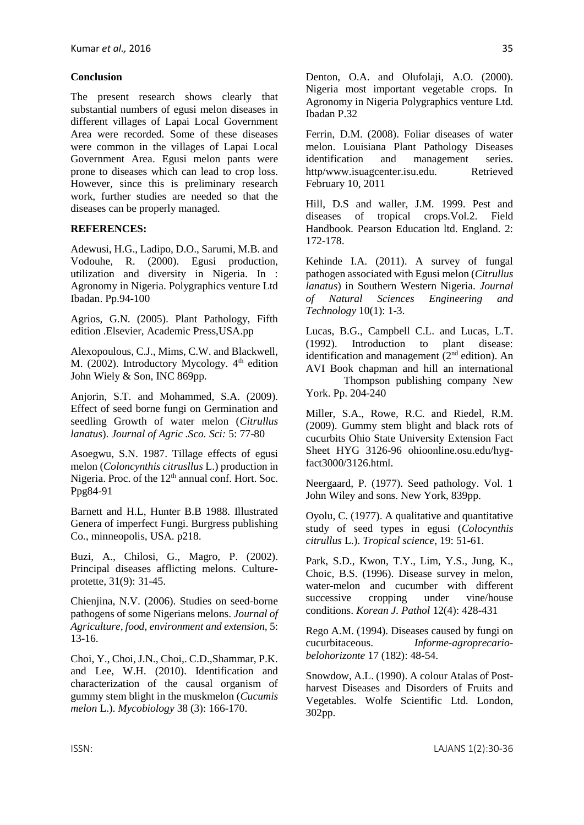#### **Conclusion**

The present research shows clearly that substantial numbers of egusi melon diseases in different villages of Lapai Local Government Area were recorded. Some of these diseases were common in the villages of Lapai Local Government Area. Egusi melon pants were prone to diseases which can lead to crop loss. However, since this is preliminary research work, further studies are needed so that the diseases can be properly managed.

#### **REFERENCES:**

Adewusi, H.G., Ladipo, D.O., Sarumi, M.B. and Vodouhe, R. (2000). Egusi production, utilization and diversity in Nigeria. In : Agronomy in Nigeria. Polygraphics venture Ltd Ibadan. Pp.94-100

Agrios, G.N. (2005). Plant Pathology, Fifth edition .Elsevier, Academic Press,USA.pp

Alexopoulous, C.J., Mims, C.W. and Blackwell, M. (2002). Introductory Mycology.  $4<sup>th</sup>$  edition John Wiely & Son, INC 869pp.

Anjorin, S.T. and Mohammed, S.A. (2009). Effect of seed borne fungi on Germination and seedling Growth of water melon (*Citrullus lanatus*). *Journal of Agric .Sco. Sci:* 5: 77-80

Asoegwu, S.N. 1987. Tillage effects of egusi melon (*Coloncynthis citrusllus* L.) production in Nigeria. Proc. of the  $12<sup>th</sup>$  annual conf. Hort. Soc. Ppg84-91

Barnett and H.L, Hunter B.B 1988. Illustrated Genera of imperfect Fungi. Burgress publishing Co., minneopolis, USA. p218.

Buzi, A., Chilosi, G., Magro, P. (2002). Principal diseases afflicting melons. Cultureprotette, 31(9): 31-45.

Chienjina, N.V. (2006). Studies on seed-borne pathogens of some Nigerians melons. *Journal of Agriculture, food, environment and extension,* 5: 13-16.

Choi, Y., Choi, J.N., Choi,. C.D.,Shammar, P.K. and Lee, W.H. (2010). Identification and characterization of the causal organism of gummy stem blight in the muskmelon (*Cucumis melon* L.). *Mycobiology* 38 (3): 166-170.

Denton, O.A. and Olufolaji, A.O. (2000). Nigeria most important vegetable crops. In Agronomy in Nigeria Polygraphics venture Ltd. Ibadan P.32

Ferrin, D.M. (2008). Foliar diseases of water melon. Louisiana Plant Pathology Diseases identification and management series. http/www.isuagcenter.isu.edu. Retrieved February 10, 2011

Hill, D.S and waller, J.M. 1999. Pest and diseases of tropical crops.Vol.2. Field Handbook. Pearson Education ltd. England. 2: 172-178.

Kehinde I.A. (2011). A survey of fungal pathogen associated with Egusi melon (*Citrullus lanatus*) in Southern Western Nigeria. *Journal of Natural Sciences Engineering and Technology* 10(1): 1-3.

Lucas, B.G., Campbell C.L. and Lucas, L.T. (1992). Introduction to plant disease: identification and management  $(2<sup>nd</sup>$  edition). An AVI Book chapman and hill an international

Thompson publishing company New York. Pp. 204-240

Miller, S.A., Rowe, R.C. and Riedel, R.M. (2009). Gummy stem blight and black rots of cucurbits Ohio State University Extension Fact Sheet HYG 3126-96 ohioonline.osu.edu/hygfact3000/3126.html.

Neergaard, P. (1977). Seed pathology. Vol. 1 John Wiley and sons. New York, 839pp.

Oyolu, C. (1977). A qualitative and quantitative study of seed types in egusi (*Colocynthis citrullus* L.). *Tropical science*, 19: 51-61.

Park, S.D., Kwon, T.Y., Lim, Y.S., Jung, K., Choic, B.S. (1996). Disease survey in melon, water-melon and cucumber with different successive cropping under vine/house conditions. *Korean J. Pathol* 12(4): 428-431

Rego A.M. (1994). Diseases caused by fungi on cucurbitaceous. *Informe-agroprecariobelohorizonte* 17 (182): 48-54.

Snowdow, A.L. (1990). A colour Atalas of Postharvest Diseases and Disorders of Fruits and Vegetables. Wolfe Scientific Ltd. London, 302pp.